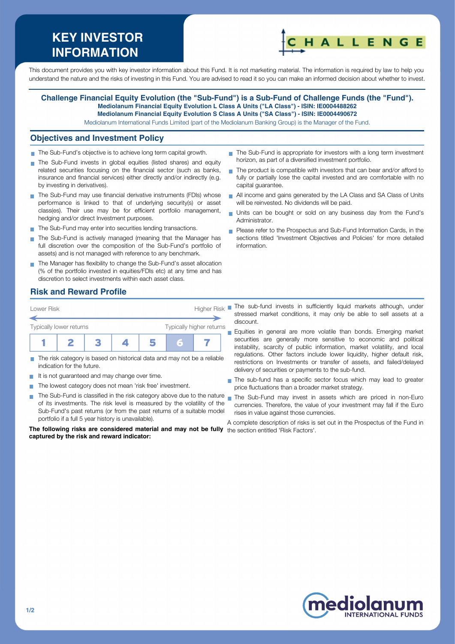# **KEY INVESTOR INFORMATION**



This document provides you with key investor information about this Fund. It is not marketing material. The information is required by law to help you understand the nature and the risks of investing in this Fund. You are advised to read it so you can make an informed decision about whether to invest.

#### **Challenge Financial Equity Evolution (the "Sub-Fund") is a Sub-Fund of Challenge Funds (the "Fund"). Mediolanum Financial Equity Evolution L Class A Units ("LA Class") - ISIN: IE0004488262 Mediolanum Financial Equity Evolution S Class A Units ("SA Class") - ISIN: IE0004490672**

Mediolanum International Funds Limited (part of the Mediolanum Banking Group) is the Manager of the Fund.

#### **Objectives and Investment Policy**

- The Sub-Fund's objective is to achieve long term capital growth.
- The Sub-Fund invests in global equities (listed shares) and equity related securities focusing on the financial sector (such as banks, insurance and financial services) either directly and/or indirectly (e.g. by investing in derivatives).
- The Sub-Fund may use financial derivative instruments (FDIs) whose performance is linked to that of underlying security(s) or asset class(es). Their use may be for efficient portfolio management, hedging and/or direct Investment purposes.
- The Sub-Fund may enter into securities lending transactions.
- The Sub-Fund is actively managed (meaning that the Manager has full discretion over the composition of the Sub-Fund's portfolio of assets) and is not managed with reference to any benchmark.
- The Manager has flexibility to change the Sub-Fund's asset allocation (% of the portfolio invested in equities/FDIs etc) at any time and has discretion to select investments within each asset class.
- The Sub-Fund is appropriate for investors with a long term investment horizon, as part of a diversified investment portfolio.
- The product is compatible with investors that can bear and/or afford to fully or partially lose the capital invested and are comfortable with no capital guarantee.
- All income and gains generated by the LA Class and SA Class of Units will be reinvested. No dividends will be paid.
- Units can be bought or sold on any business day from the Fund's Administrator.
- Please refer to the Prospectus and Sub-Fund Information Cards, in the sections titled 'Investment Objectives and Policies' for more detailed information.

### **Risk and Reward Profile**



- The risk category is based on historical data and may not be a reliable  $\overline{\phantom{a}}$ indication for the future.
- It is not quaranteed and may change over time.  $\sim$
- The lowest category does not mean 'risk free' investment.
- The Sub-Fund is classified in the risk category above due to the nature nan the Sub-Fund may invest in assets which are priced in non-Euro of its investments. The risk level is measured by the volatility of the Sub-Fund's past returns (or from the past returns of a suitable model portfolio if a full 5 year history is unavailable).

**The following risks are considered material and may not be fully** the section entitled 'Risk Factors'.**captured by the risk and reward indicator:**

- stressed market conditions, it may only be able to sell assets at a discount.
- Equities in general are more volatile than bonds. Emerging market securities are generally more sensitive to economic and political instability, scarcity of public information, market volatility, and local regulations. Other factors include lower liquidity, higher default risk, restrictions on Investments or transfer of assets, and failed/delayed delivery of securities or payments to the sub-fund.
- The sub-fund has a specific sector focus which may lead to greater price fluctuations than a broader market strategy.
- currencies. Therefore, the value of your investment may fall if the Euro rises in value against those currencies.

A complete description of risks is set out in the Prospectus of the Fund in